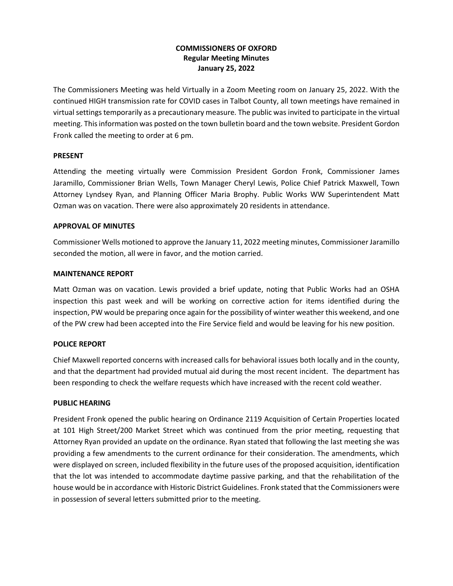# **COMMISSIONERS OF OXFORD Regular Meeting Minutes January 25, 2022**

The Commissioners Meeting was held Virtually in a Zoom Meeting room on January 25, 2022. With the continued HIGH transmission rate for COVID cases in Talbot County, all town meetings have remained in virtual settings temporarily as a precautionary measure. The public was invited to participate in the virtual meeting. This information was posted on the town bulletin board and the town website. President Gordon Fronk called the meeting to order at 6 pm.

## **PRESENT**

Attending the meeting virtually were Commission President Gordon Fronk, Commissioner James Jaramillo, Commissioner Brian Wells, Town Manager Cheryl Lewis, Police Chief Patrick Maxwell, Town Attorney Lyndsey Ryan, and Planning Officer Maria Brophy. Public Works WW Superintendent Matt Ozman was on vacation. There were also approximately 20 residents in attendance.

## **APPROVAL OF MINUTES**

Commissioner Wells motioned to approve the January 11, 2022 meeting minutes, Commissioner Jaramillo seconded the motion, all were in favor, and the motion carried.

### **MAINTENANCE REPORT**

Matt Ozman was on vacation. Lewis provided a brief update, noting that Public Works had an OSHA inspection this past week and will be working on corrective action for items identified during the inspection, PW would be preparing once again for the possibility of winter weather this weekend, and one of the PW crew had been accepted into the Fire Service field and would be leaving for his new position.

# **POLICE REPORT**

Chief Maxwell reported concerns with increased calls for behavioral issues both locally and in the county, and that the department had provided mutual aid during the most recent incident. The department has been responding to check the welfare requests which have increased with the recent cold weather.

# **PUBLIC HEARING**

President Fronk opened the public hearing on Ordinance 2119 Acquisition of Certain Properties located at 101 High Street/200 Market Street which was continued from the prior meeting, requesting that Attorney Ryan provided an update on the ordinance. Ryan stated that following the last meeting she was providing a few amendments to the current ordinance for their consideration. The amendments, which were displayed on screen, included flexibility in the future uses of the proposed acquisition, identification that the lot was intended to accommodate daytime passive parking, and that the rehabilitation of the house would be in accordance with Historic District Guidelines. Fronk stated that the Commissioners were in possession of several letters submitted prior to the meeting.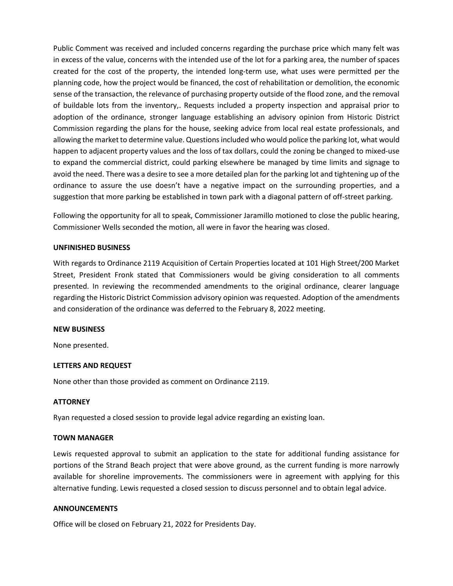Public Comment was received and included concerns regarding the purchase price which many felt was in excess of the value, concerns with the intended use of the lot for a parking area, the number of spaces created for the cost of the property, the intended long-term use, what uses were permitted per the planning code, how the project would be financed, the cost of rehabilitation or demolition, the economic sense of the transaction, the relevance of purchasing property outside of the flood zone, and the removal of buildable lots from the inventory,. Requests included a property inspection and appraisal prior to adoption of the ordinance, stronger language establishing an advisory opinion from Historic District Commission regarding the plans for the house, seeking advice from local real estate professionals, and allowing the market to determine value. Questions included who would police the parking lot, what would happen to adjacent property values and the loss of tax dollars, could the zoning be changed to mixed-use to expand the commercial district, could parking elsewhere be managed by time limits and signage to avoid the need. There was a desire to see a more detailed plan for the parking lot and tightening up of the ordinance to assure the use doesn't have a negative impact on the surrounding properties, and a suggestion that more parking be established in town park with a diagonal pattern of off-street parking.

Following the opportunity for all to speak, Commissioner Jaramillo motioned to close the public hearing, Commissioner Wells seconded the motion, all were in favor the hearing was closed.

## **UNFINISHED BUSINESS**

With regards to Ordinance 2119 Acquisition of Certain Properties located at 101 High Street/200 Market Street, President Fronk stated that Commissioners would be giving consideration to all comments presented. In reviewing the recommended amendments to the original ordinance, clearer language regarding the Historic District Commission advisory opinion was requested. Adoption of the amendments and consideration of the ordinance was deferred to the February 8, 2022 meeting.

### **NEW BUSINESS**

None presented.

### **LETTERS AND REQUEST**

None other than those provided as comment on Ordinance 2119.

#### **ATTORNEY**

Ryan requested a closed session to provide legal advice regarding an existing loan.

#### **TOWN MANAGER**

Lewis requested approval to submit an application to the state for additional funding assistance for portions of the Strand Beach project that were above ground, as the current funding is more narrowly available for shoreline improvements. The commissioners were in agreement with applying for this alternative funding. Lewis requested a closed session to discuss personnel and to obtain legal advice.

## **ANNOUNCEMENTS**

Office will be closed on February 21, 2022 for Presidents Day.